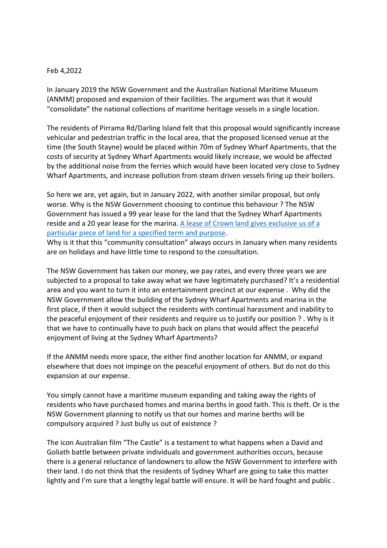## Feb 4,2022

In January 2019 the NSW Government and the Australian National Maritime Museum (ANMM) proposed and expansion of their facilities. The argument was that it would "consolidate" the national collections of maritime heritage vessels in a single location.

The residents of Pirrama Rd/Darling Island felt that this proposal would significantly increase vehicular and pedestrian traffic in the local area, that the proposed licensed venue at the time (the South Stayne) would be placed within 70m of Sydney Wharf Apartments, that the costs of security at Sydney Wharf Apartments would likely increase, we would be affected by the additional noise from the ferries which would have been located very close to Sydney Wharf Apartments, and increase pollution from steam driven vessels firing up their boilers.

So here we are, yet again, but in January 2022, with another similar proposal, but only worse. Why is the NSW Government choosing to continue this behaviour ? The NSW Government has issued a 99 year lease for the land that the Sydney Wharf Apartments reside and a 20 year lease for the marina. A lease of Crown land gives exclusive us of a particular piece of land for a specified term and purpose.

Why is it that this "community consultation" always occurs in January when many residents are on holidays and have little time to respond to the consultation.

The NSW Government has taken our money, we pay rates, and every three years we are subjected to a proposal to take away what we have legitimately purchased? It's a residential area and you want to turn it into an entertainment precinct at our expense . Why did the NSW Government allow the building of the Sydney Wharf Apartments and marina in the first place, if then it would subject the residents with continual harassment and inability to the peaceful enjoyment of their residents and require us to justify our position ? . Why is it that we have to continually have to push back on plans that would affect the peaceful enjoyment of living at the Sydney Wharf Apartments?

If the ANMM needs more space, the either find another location for ANMM, or expand elsewhere that does not impinge on the peaceful enjoyment of others. But do not do this expansion at our expense.

You simply cannot have a maritime museum expanding and taking away the rights of residents who have purchased homes and marina berths in good faith. This is theft. Or is the NSW Government planning to notify us that our homes and marine berths will be compulsory acquired ? Just bully us out of existence ?

The icon Australian film "The Castle" is a testament to what happens when a David and Goliath battle between private individuals and government authorities occurs, because there is a general reluctance of landowners to allow the NSW Government to interfere with their land. I do not think that the residents of Sydney Wharf are going to take this matter lightly and I'm sure that a lengthy legal battle will ensure. It will be hard fought and public.